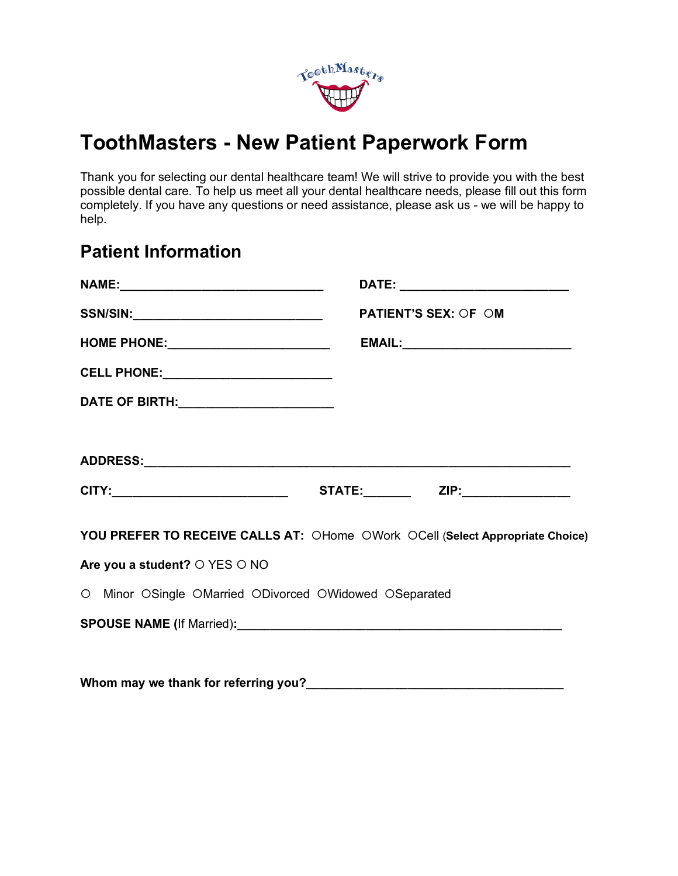

# **ToothMasters - New Patient Paperwork Form**

Thank you for selecting our dental healthcare team! We will strive to provide you with the best possible dental care. To help us meet all your dental healthcare needs, please fill out this form completely. If you have any questions or need assistance, please ask us - we will be happy to help.

### **Patient Information**

|                                                        | <b>PATIENT'S SEX: OF OM</b>                                                   |
|--------------------------------------------------------|-------------------------------------------------------------------------------|
|                                                        |                                                                               |
| CELL PHONE: ____________________________               |                                                                               |
| DATE OF BIRTH: ________________________                |                                                                               |
|                                                        |                                                                               |
|                                                        |                                                                               |
|                                                        |                                                                               |
|                                                        | YOU PREFER TO RECEIVE CALLS AT: OHome OWork OCell (Select Appropriate Choice) |
| Are you a student? O YES O NO                          |                                                                               |
| O Minor OSingle OMarried ODivorced OWidowed OSeparated |                                                                               |
|                                                        |                                                                               |
|                                                        |                                                                               |
|                                                        |                                                                               |

Whom may we thank for referring you?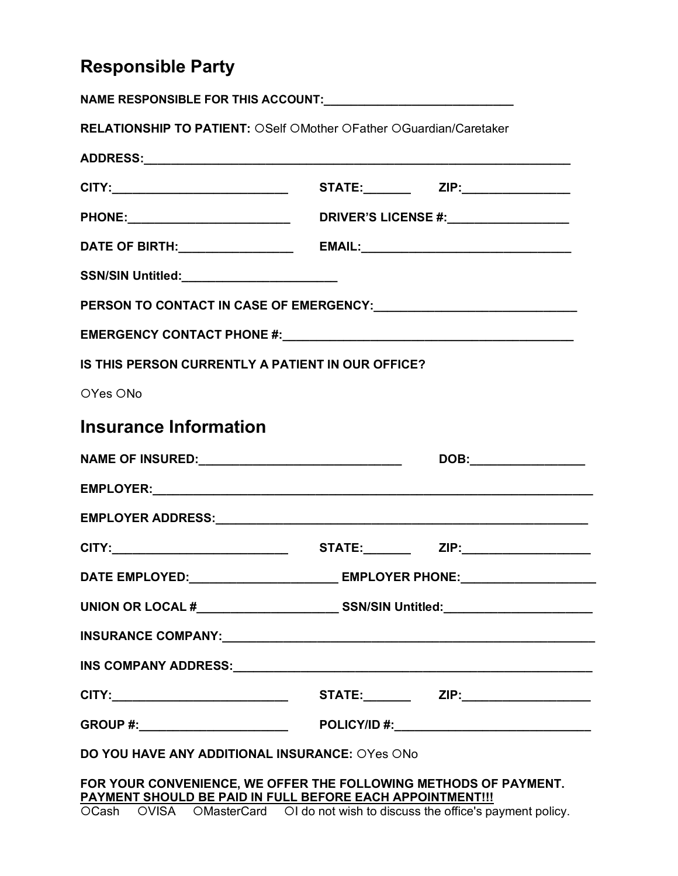# **Responsible Party**

| <b>RELATIONSHIP TO PATIENT: OSelf OMother OFather OGuardian/Caretaker</b>                                                     |                                                                                  |                      |
|-------------------------------------------------------------------------------------------------------------------------------|----------------------------------------------------------------------------------|----------------------|
|                                                                                                                               |                                                                                  |                      |
|                                                                                                                               |                                                                                  |                      |
|                                                                                                                               |                                                                                  |                      |
|                                                                                                                               |                                                                                  |                      |
|                                                                                                                               |                                                                                  |                      |
|                                                                                                                               |                                                                                  |                      |
|                                                                                                                               |                                                                                  |                      |
| IS THIS PERSON CURRENTLY A PATIENT IN OUR OFFICE?                                                                             |                                                                                  |                      |
| OYes ONo                                                                                                                      |                                                                                  |                      |
| <b>Insurance Information</b>                                                                                                  |                                                                                  |                      |
| NAME OF INSURED:___________________________________                                                                           |                                                                                  | DOB:________________ |
|                                                                                                                               |                                                                                  |                      |
|                                                                                                                               |                                                                                  |                      |
|                                                                                                                               |                                                                                  |                      |
| DATE EMPLOYED:__________________________ EMPLOYER PHONE:________________________                                              |                                                                                  |                      |
|                                                                                                                               | UNION OR LOCAL #________________________________SSN/SIN Untitled:_______________ |                      |
|                                                                                                                               |                                                                                  |                      |
|                                                                                                                               |                                                                                  |                      |
| CITY:________________________________  STATE:________  ZIP:_____________________                                              |                                                                                  |                      |
|                                                                                                                               |                                                                                  |                      |
| DO YOU HAVE ANY ADDITIONAL INSURANCE: OYes ONo                                                                                |                                                                                  |                      |
| FOR YOUR CONVENIENCE, WE OFFER THE FOLLOWING METHODS OF PAYMENT.<br>PAYMENT SHOULD BE PAID IN FULL BEFORE EACH APPOINTMENT!!! |                                                                                  |                      |

OCash OVISA OMasterCard OI do not wish to discuss the office's payment policy.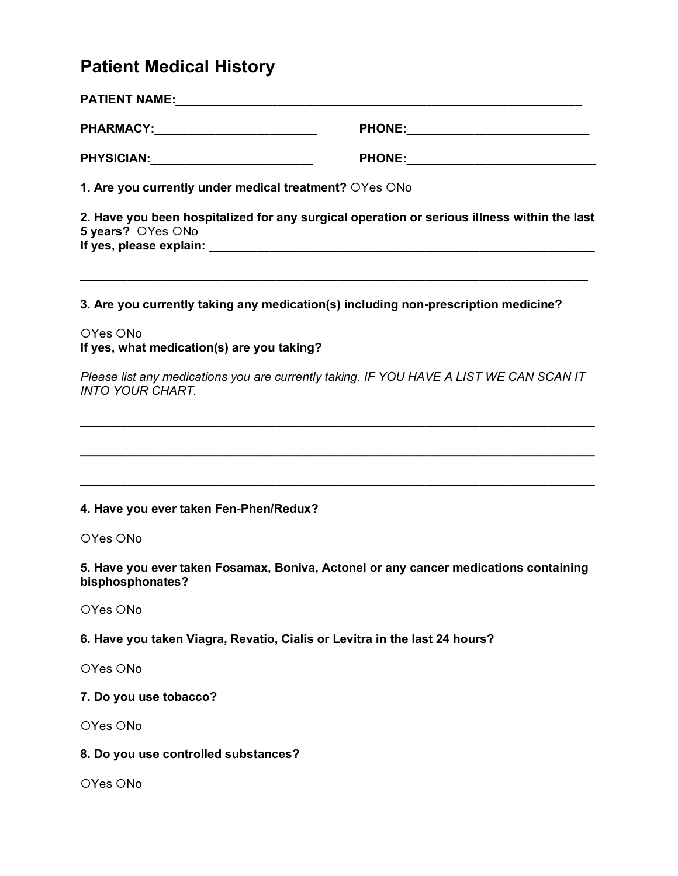# **Patient Medical History**

| PHARMACY:___________________________                   |                                                                                             |
|--------------------------------------------------------|---------------------------------------------------------------------------------------------|
|                                                        |                                                                                             |
| 1. Are you currently under medical treatment? OYes ONo |                                                                                             |
| 5 years? OYes ONo                                      | 2. Have you been hospitalized for any surgical operation or serious illness within the last |
|                                                        | 3. Are you currently taking any medication(s) including non-prescription medicine?          |
| OYes ONo<br>If yes, what medication(s) are you taking? |                                                                                             |
| <b>INTO YOUR CHART.</b>                                | Please list any medications you are currently taking. IF YOU HAVE A LIST WE CAN SCAN IT     |
|                                                        |                                                                                             |
| 4. Have you ever taken Fen-Phen/Redux?                 |                                                                                             |
| OYes ONo                                               |                                                                                             |
| bisphosphonates?                                       | 5. Have you ever taken Fosamax, Boniva, Actonel or any cancer medications containing        |
| OYes ONo                                               |                                                                                             |
|                                                        | 6. Have you taken Viagra, Revatio, Cialis or Levitra in the last 24 hours?                  |
| OYes ONo                                               |                                                                                             |

**7. Do you use tobacco?** 

OYes ONo

### **8. Do you use controlled substances?**

OYes ONo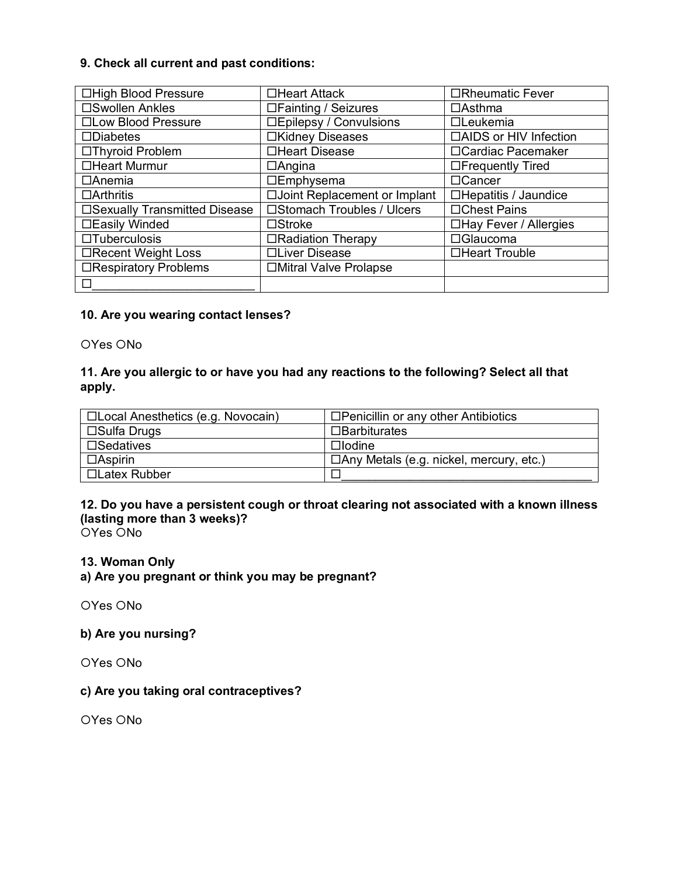#### **9. Check all current and past conditions:**

| □High Blood Pressure          | □Heart Attack                  | □Rheumatic Fever             |
|-------------------------------|--------------------------------|------------------------------|
| □Swollen Ankles               | $\Box$ Fainting / Seizures     | $\Box$ Asthma                |
| □Low Blood Pressure           | □Epilepsy / Convulsions        | $\Box$ Leukemia              |
| $\square$ Diabetes            | □Kidney Diseases               | □AIDS or HIV Infection       |
| □Thyroid Problem              | □Heart Disease                 | □ Cardiac Pacemaker          |
| □Heart Murmur                 | $\Box$ Angina                  | $\Box$ Frequently Tired      |
| $\Box$ Anemia                 | $\Box$ Emphysema               | □Cancer                      |
| $\Box$ Arthritis              | □ Joint Replacement or Implant | □Hepatitis / Jaundice        |
| □Sexually Transmitted Disease | □Stomach Troubles / Ulcers     | □Chest Pains                 |
| □Easily Winded                | $\square$ Stroke               | $\Box$ Hay Fever / Allergies |
| $\Box$ Tuberculosis           | □Radiation Therapy             | □Glaucoma                    |
| □Recent Weight Loss           | □Liver Disease                 | □Heart Trouble               |
| □Respiratory Problems         | □Mitral Valve Prolapse         |                              |
|                               |                                |                              |

#### **10. Are you wearing contact lenses?**

OYes ONo

#### **11. Are you allergic to or have you had any reactions to the following? Select all that apply.**

| □Local Anesthetics (e.g. Novocain) | $\Box$ Penicillin or any other Antibiotics     |
|------------------------------------|------------------------------------------------|
| $\square$ Sulfa Drugs              | $\square$ Barbiturates                         |
| $\square$ Sedatives                | $\Box$ lodine                                  |
| $\Box$ Aspirin                     | $\Box$ Any Metals (e.g. nickel, mercury, etc.) |
| □Latex Rubber                      |                                                |

### **12. Do you have a persistent cough or throat clearing not associated with a known illness (lasting more than 3 weeks)?**

 $OYes$   $ONo$ 

#### **13. Woman Only**

**a) Are you pregnant or think you may be pregnant?** 

OYes ONo

### **b) Are you nursing?**

OYes ONo

#### **c) Are you taking oral contraceptives?**

OYes ONo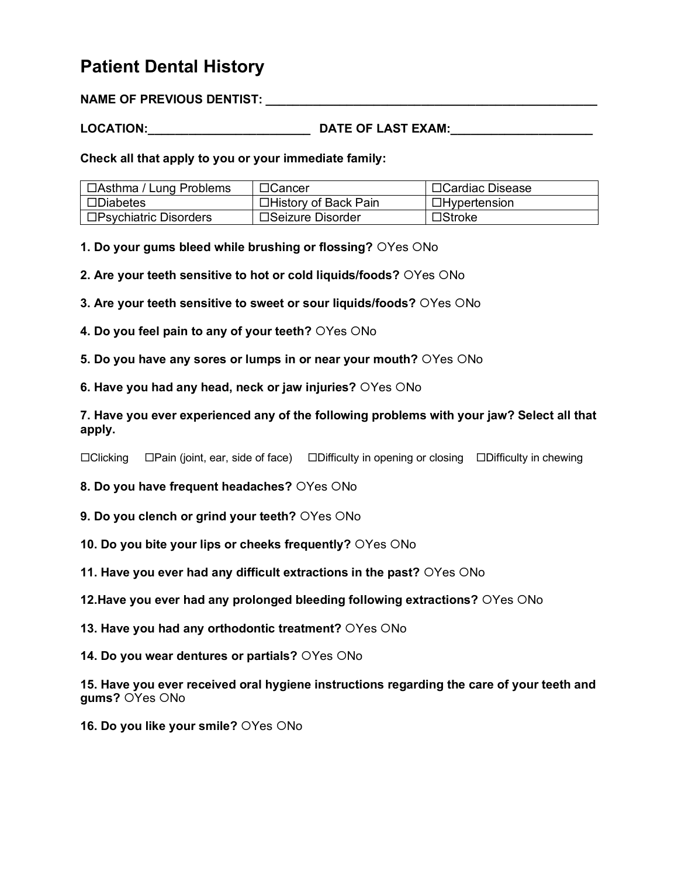### **Patient Dental History**

**NAME OF PREVIOUS DENTIST:** 

**LOCATION:\_\_\_\_\_\_\_\_\_\_\_\_\_\_\_\_\_\_\_\_\_\_\_\_ DATE OF LAST EXAM:\_\_\_\_\_\_\_\_\_\_\_\_\_\_\_\_\_\_\_\_\_**

**Check all that apply to you or your immediate family:** 

| <sub>I</sub> □Asthma / Lung Problems | $\Box$ Cancer         | □Cardiac Disease    |
|--------------------------------------|-----------------------|---------------------|
| $\square$ Diabetes                   | □History of Back Pain | $\Box$ Hypertension |
| $\square$ Psychiatric Disorders      | □Seizure Disorder     | $\square$ Stroke    |

**1. Do your gums bleed while brushing or flossing?** OYes ONo

**2. Are your teeth sensitive to hot or cold liquids/foods?** OYes ONo

**3. Are your teeth sensitive to sweet or sour liquids/foods?** OYes ONo

**4. Do you feel pain to any of your teeth?** OYes ONo

**5. Do you have any sores or lumps in or near your mouth?** OYes ONo

**6. Have you had any head, neck or jaw injuries?** OYes ONo

**7. Have you ever experienced any of the following problems with your jaw? Select all that apply.** 

¨Clicking ¨Pain (joint, ear, side of face) ¨Difficulty in opening or closing ¨Difficulty in chewing

**8. Do you have frequent headaches?** OYes ONo

**9. Do you clench or grind your teeth?** OYes ONo

**10. Do you bite your lips or cheeks frequently?** OYes ONo

**11. Have you ever had any difficult extractions in the past?** OYes ONo

**12. Have you ever had any prolonged bleeding following extractions?** OYes ONo

**13. Have you had any orthodontic treatment?** OYes ONo

**14. Do you wear dentures or partials?** OYes ONo

**15. Have you ever received oral hygiene instructions regarding the care of your teeth and gums?** OYes ONo

**16. Do you like your smile?** OYes ONo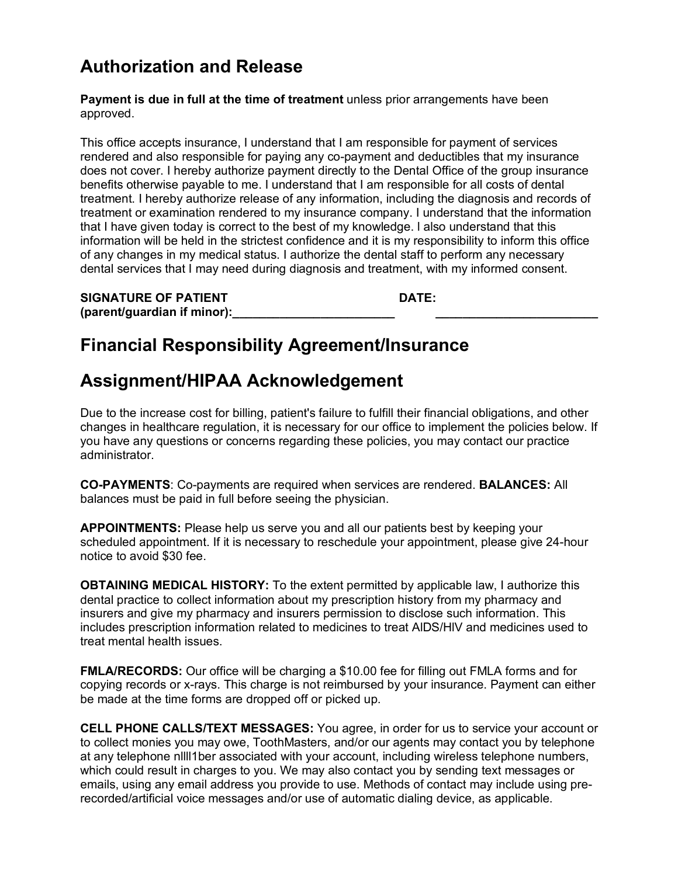### **Authorization and Release**

**Payment is due in full at the time of treatment** unless prior arrangements have been approved.

This office accepts insurance, I understand that I am responsible for payment of services rendered and also responsible for paying any co-payment and deductibles that my insurance does not cover. I hereby authorize payment directly to the Dental Office of the group insurance benefits otherwise payable to me. I understand that I am responsible for all costs of dental treatment. I hereby authorize release of any information, including the diagnosis and records of treatment or examination rendered to my insurance company. I understand that the information that I have given today is correct to the best of my knowledge. l also understand that this information will be held in the strictest confidence and it is my responsibility to inform this office of any changes in my medical status. I authorize the dental staff to perform any necessary dental services that I may need during diagnosis and treatment, with my informed consent.

| <b>SIGNATURE OF PATIENT</b> | DATE: |
|-----------------------------|-------|
| (parent/guardian if minor): |       |

## **Financial Responsibility Agreement/Insurance**

## **Assignment/HIPAA Acknowledgement**

Due to the increase cost for billing, patient's failure to fulfill their financial obligations, and other changes in healthcare regulation, it is necessary for our office to implement the policies below. If you have any questions or concerns regarding these policies, you may contact our practice administrator.

**CO-PAYMENTS**: Co-payments are required when services are rendered. **BALANCES:** All balances must be paid in full before seeing the physician.

**APPOINTMENTS:** Please help us serve you and all our patients best by keeping your scheduled appointment. If it is necessary to reschedule your appointment, please give 24-hour notice to avoid \$30 fee.

**OBTAINING MEDICAL HISTORY:** To the extent permitted by applicable law, I authorize this dental practice to collect information about my prescription history from my pharmacy and insurers and give my pharmacy and insurers permission to disclose such information. This includes prescription information related to medicines to treat AlDS/HlV and medicines used to treat mental health issues.

**FMLA/RECORDS:** Our office will be charging a \$10.00 fee for filling out FMLA forms and for copying records or x-rays. This charge is not reimbursed by your insurance. Payment can either be made at the time forms are dropped off or picked up.

**CELL PHONE CALLS/TEXT MESSAGES:** You agree, in order for us to service your account or to collect monies you may owe, ToothMasters, and/or our agents may contact you by telephone at any telephone nllll1ber associated with your account, including wireless telephone numbers, which could result in charges to you. We may also contact you by sending text messages or emails, using any email address you provide to use. Methods of contact may include using prerecorded/artificial voice messages and/or use of automatic dialing device, as applicable.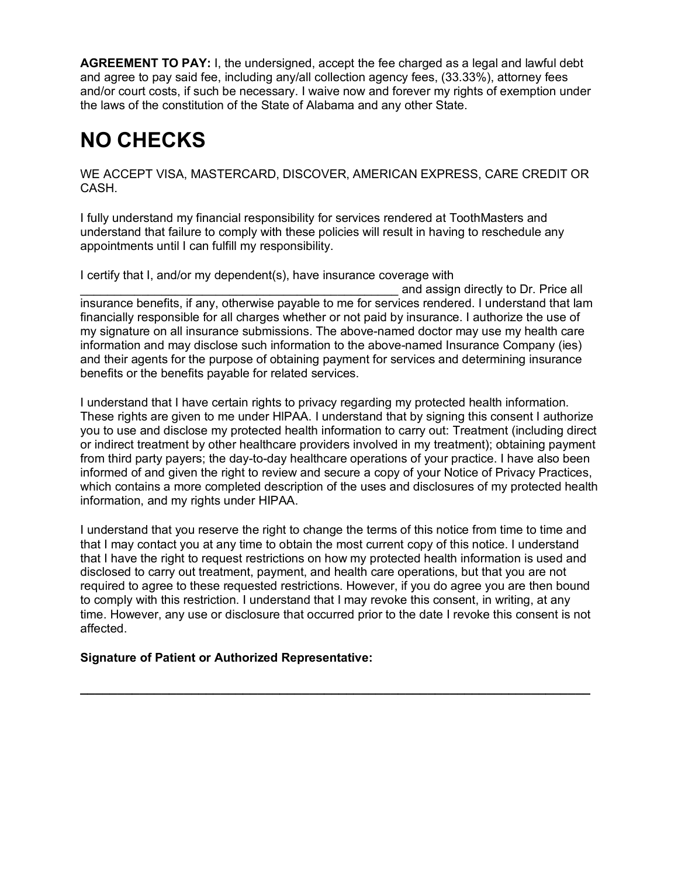**AGREEMENT TO PAY:** I, the undersigned, accept the fee charged as a legal and lawful debt and agree to pay said fee, including any/all collection agency fees, (33.33%), attorney fees and/or court costs, if such be necessary. I waive now and forever my rights of exemption under the laws of the constitution of the State of Alabama and any other State.

# **NO CHECKS**

WE ACCEPT VISA, MASTERCARD, DISCOVER, AMERICAN EXPRESS, CARE CREDIT OR CASH.

I fully understand my financial responsibility for services rendered at ToothMasters and understand that failure to comply with these policies will result in having to reschedule any appointments until I can fulfill my responsibility.

I certify that I, and/or my dependent(s), have insurance coverage with

and assign directly to Dr. Price all insurance benefits, if any, otherwise payable to me for services rendered. I understand that lam financially responsible for all charges whether or not paid by insurance. I authorize the use of my signature on all insurance submissions. The above-named doctor may use my health care information and may disclose such information to the above-named Insurance Company (ies) and their agents for the purpose of obtaining payment for services and determining insurance benefits or the benefits payable for related services.

I understand that I have certain rights to privacy regarding my protected health information. These rights are given to me under HlPAA. I understand that by signing this consent I authorize you to use and disclose my protected health information to carry out: Treatment (including direct or indirect treatment by other healthcare providers involved in my treatment); obtaining payment from third party payers; the day-to-day healthcare operations of your practice. I have also been informed of and given the right to review and secure a copy of your Notice of Privacy Practices, which contains a more completed description of the uses and disclosures of my protected health information, and my rights under HIPAA.

I understand that you reserve the right to change the terms of this notice from time to time and that I may contact you at any time to obtain the most current copy of this notice. I understand that I have the right to request restrictions on how my protected health information is used and disclosed to carry out treatment, payment, and health care operations, but that you are not required to agree to these requested restrictions. However, if you do agree you are then bound to comply with this restriction. I understand that I may revoke this consent, in writing, at any time. However, any use or disclosure that occurred prior to the date I revoke this consent is not affected.

**\_\_\_\_\_\_\_\_\_\_\_\_\_\_\_\_\_\_\_\_\_\_\_\_\_\_\_\_\_\_\_\_\_\_\_\_\_\_\_\_\_\_\_\_\_\_\_\_\_\_\_\_\_\_\_\_\_\_\_\_\_\_\_\_\_\_\_\_\_**

### **Signature of Patient or Authorized Representative:**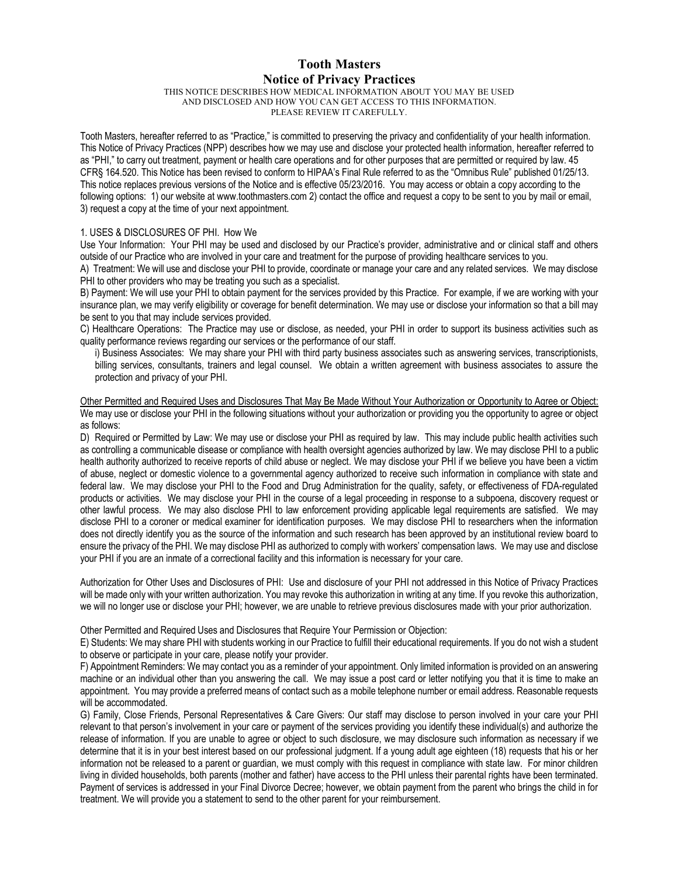#### **Tooth Masters Notice of Privacy Practices**

THIS NOTICE DESCRIBES HOW MEDICAL INFORMATION ABOUT YOU MAY BE USED AND DISCLOSED AND HOW YOU CAN GET ACCESS TO THIS INFORMATION. PLEASE REVIEW IT CAREFULLY.

Tooth Masters, hereafter referred to as "Practice," is committed to preserving the privacy and confidentiality of your health information. This Notice of Privacy Practices (NPP) describes how we may use and disclose your protected health information, hereafter referred to as "PHI," to carry out treatment, payment or health care operations and for other purposes that are permitted or required by law. 45 CFR§ 164.520. This Notice has been revised to conform to HIPAA's Final Rule referred to as the "Omnibus Rule" published 01/25/13. This notice replaces previous versions of the Notice and is effective 05/23/2016. You may access or obtain a copy according to the following options: 1) our website at www.toothmasters.com 2) contact the office and request a copy to be sent to you by mail or email, 3) request a copy at the time of your next appointment.

#### 1. USES & DISCLOSURES OF PHI. How We

Use Your Information: Your PHI may be used and disclosed by our Practice's provider, administrative and or clinical staff and others outside of our Practice who are involved in your care and treatment for the purpose of providing healthcare services to you.

A) Treatment: We will use and disclose your PHI to provide, coordinate or manage your care and any related services. We may disclose PHI to other providers who may be treating you such as a specialist.

B) Payment: We will use your PHI to obtain payment for the services provided by this Practice. For example, if we are working with your insurance plan, we may verify eligibility or coverage for benefit determination. We may use or disclose your information so that a bill may be sent to you that may include services provided.

C) Healthcare Operations: The Practice may use or disclose, as needed, your PHI in order to support its business activities such as quality performance reviews regarding our services or the performance of our staff.

i) Business Associates: We may share your PHI with third party business associates such as answering services, transcriptionists, billing services, consultants, trainers and legal counsel. We obtain a written agreement with business associates to assure the protection and privacy of your PHI.

Other Permitted and Required Uses and Disclosures That May Be Made Without Your Authorization or Opportunity to Agree or Object: We may use or disclose your PHI in the following situations without your authorization or providing you the opportunity to agree or object as follows:

D) Required or Permitted by Law: We may use or disclose your PHI as required by law. This may include public health activities such as controlling a communicable disease or compliance with health oversight agencies authorized by law. We may disclose PHI to a public health authority authorized to receive reports of child abuse or neglect. We may disclose your PHI if we believe you have been a victim of abuse, neglect or domestic violence to a governmental agency authorized to receive such information in compliance with state and federal law. We may disclose your PHI to the Food and Drug Administration for the quality, safety, or effectiveness of FDA-regulated products or activities. We may disclose your PHI in the course of a legal proceeding in response to a subpoena, discovery request or other lawful process. We may also disclose PHI to law enforcement providing applicable legal requirements are satisfied. We may disclose PHI to a coroner or medical examiner for identification purposes. We may disclose PHI to researchers when the information does not directly identify you as the source of the information and such research has been approved by an institutional review board to ensure the privacy of the PHI. We may disclose PHI as authorized to comply with workers' compensation laws. We may use and disclose your PHI if you are an inmate of a correctional facility and this information is necessary for your care.

Authorization for Other Uses and Disclosures of PHI: Use and disclosure of your PHI not addressed in this Notice of Privacy Practices will be made only with your written authorization. You may revoke this authorization in writing at any time. If you revoke this authorization, we will no longer use or disclose your PHI; however, we are unable to retrieve previous disclosures made with your prior authorization.

Other Permitted and Required Uses and Disclosures that Require Your Permission or Objection:

E) Students: We may share PHI with students working in our Practice to fulfill their educational requirements. If you do not wish a student to observe or participate in your care, please notify your provider.

F) Appointment Reminders: We may contact you as a reminder of your appointment. Only limited information is provided on an answering machine or an individual other than you answering the call. We may issue a post card or letter notifying you that it is time to make an appointment. You may provide a preferred means of contact such as a mobile telephone number or email address. Reasonable requests will be accommodated.

G) Family, Close Friends, Personal Representatives & Care Givers: Our staff may disclose to person involved in your care your PHI relevant to that person's involvement in your care or payment of the services providing you identify these individual(s) and authorize the release of information. If you are unable to agree or object to such disclosure, we may disclosure such information as necessary if we determine that it is in your best interest based on our professional judgment. If a young adult age eighteen (18) requests that his or her information not be released to a parent or guardian, we must comply with this request in compliance with state law. For minor children living in divided households, both parents (mother and father) have access to the PHI unless their parental rights have been terminated. Payment of services is addressed in your Final Divorce Decree; however, we obtain payment from the parent who brings the child in for treatment. We will provide you a statement to send to the other parent for your reimbursement.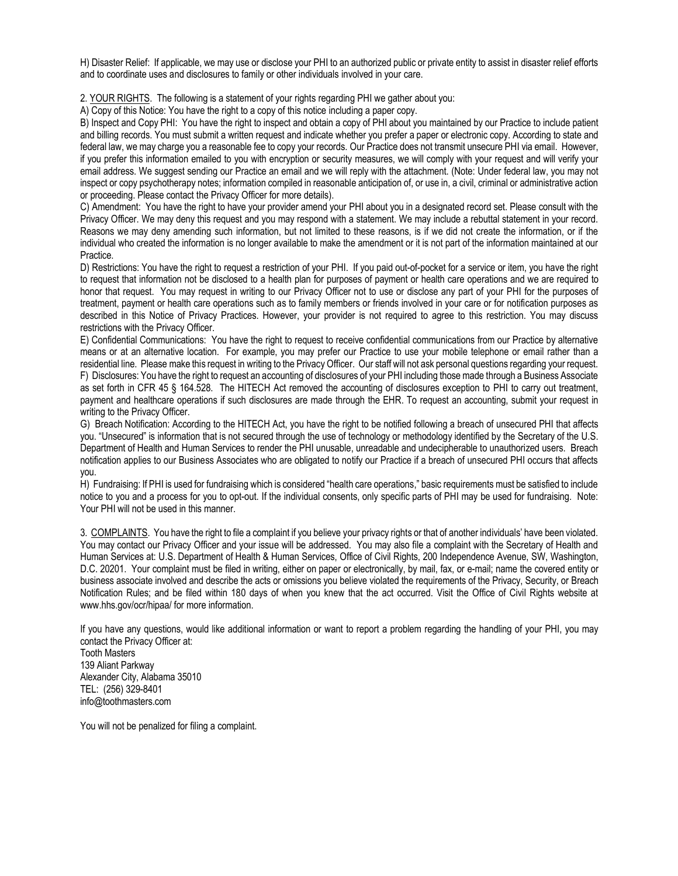H) Disaster Relief: If applicable, we may use or disclose your PHI to an authorized public or private entity to assist in disaster relief efforts and to coordinate uses and disclosures to family or other individuals involved in your care.

2. YOUR RIGHTS. The following is a statement of your rights regarding PHI we gather about you:

A) Copy of this Notice: You have the right to a copy of this notice including a paper copy.

B) Inspect and Copy PHI: You have the right to inspect and obtain a copy of PHI about you maintained by our Practice to include patient and billing records. You must submit a written request and indicate whether you prefer a paper or electronic copy. According to state and federal law, we may charge you a reasonable fee to copy your records. Our Practice does not transmit unsecure PHI via email. However, if you prefer this information emailed to you with encryption or security measures, we will comply with your request and will verify your email address. We suggest sending our Practice an email and we will reply with the attachment. (Note: Under federal law, you may not inspect or copy psychotherapy notes; information compiled in reasonable anticipation of, or use in, a civil, criminal or administrative action or proceeding. Please contact the Privacy Officer for more details).

C) Amendment: You have the right to have your provider amend your PHI about you in a designated record set. Please consult with the Privacy Officer. We may deny this request and you may respond with a statement. We may include a rebuttal statement in your record. Reasons we may deny amending such information, but not limited to these reasons, is if we did not create the information, or if the individual who created the information is no longer available to make the amendment or it is not part of the information maintained at our Practice.

D) Restrictions: You have the right to request a restriction of your PHI. If you paid out-of-pocket for a service or item, you have the right to request that information not be disclosed to a health plan for purposes of payment or health care operations and we are required to honor that request. You may request in writing to our Privacy Officer not to use or disclose any part of your PHI for the purposes of treatment, payment or health care operations such as to family members or friends involved in your care or for notification purposes as described in this Notice of Privacy Practices. However, your provider is not required to agree to this restriction. You may discuss restrictions with the Privacy Officer.

E) Confidential Communications: You have the right to request to receive confidential communications from our Practice by alternative means or at an alternative location. For example, you may prefer our Practice to use your mobile telephone or email rather than a residential line. Please make this request in writing to the Privacy Officer. Our staff will not ask personal questions regarding your request. F) Disclosures: You have the right to request an accounting of disclosures of your PHI including those made through a Business Associate as set forth in CFR 45 § 164.528. The HITECH Act removed the accounting of disclosures exception to PHI to carry out treatment, payment and healthcare operations if such disclosures are made through the EHR. To request an accounting, submit your request in writing to the Privacy Officer.

G) Breach Notification: According to the HITECH Act, you have the right to be notified following a breach of unsecured PHI that affects you. "Unsecured" is information that is not secured through the use of technology or methodology identified by the Secretary of the U.S. Department of Health and Human Services to render the PHI unusable, unreadable and undecipherable to unauthorized users. Breach notification applies to our Business Associates who are obligated to notify our Practice if a breach of unsecured PHI occurs that affects you.

H) Fundraising: If PHI is used for fundraising which is considered "health care operations," basic requirements must be satisfied to include notice to you and a process for you to opt-out. If the individual consents, only specific parts of PHI may be used for fundraising. Note: Your PHI will not be used in this manner.

3. COMPLAINTS. You have the right to file a complaint if you believe your privacy rights or that of another individuals' have been violated. You may contact our Privacy Officer and your issue will be addressed. You may also file a complaint with the Secretary of Health and Human Services at: U.S. Department of Health & Human Services, Office of Civil Rights, 200 Independence Avenue, SW, Washington, D.C. 20201. Your complaint must be filed in writing, either on paper or electronically, by mail, fax, or e-mail; name the covered entity or business associate involved and describe the acts or omissions you believe violated the requirements of the Privacy, Security, or Breach Notification Rules; and be filed within 180 days of when you knew that the act occurred. Visit the Office of Civil Rights website at www.hhs.gov/ocr/hipaa/ for more information.

If you have any questions, would like additional information or want to report a problem regarding the handling of your PHI, you may contact the Privacy Officer at:

Tooth Masters 139 Aliant Parkway Alexander City, Alabama 35010 TEL: (256) 329-8401 info@toothmasters.com

You will not be penalized for filing a complaint.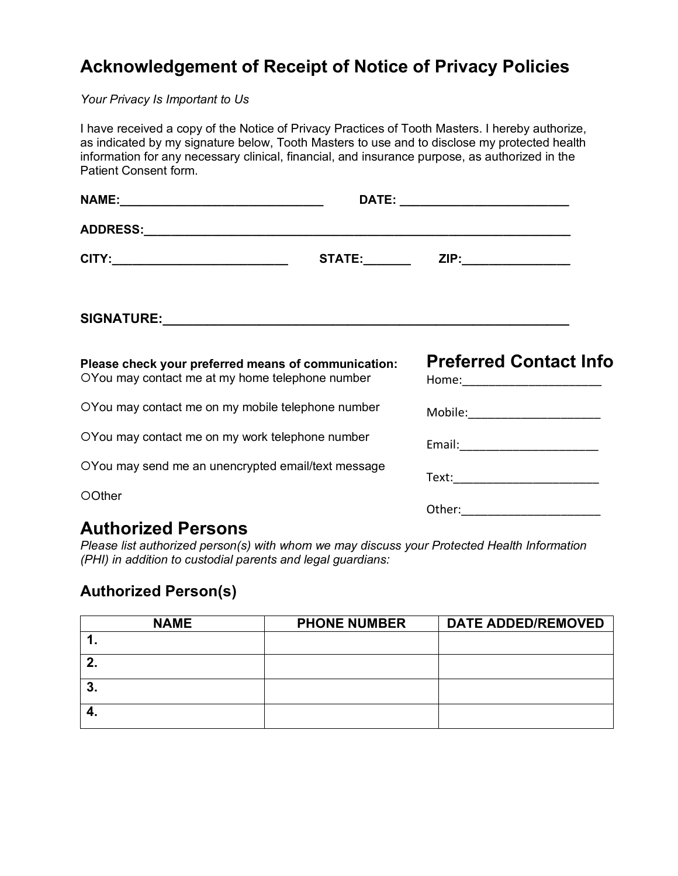# **Acknowledgement of Receipt of Notice of Privacy Policies**

*Your Privacy Is Important to Us* 

| I have received a copy of the Notice of Privacy Practices of Tooth Masters. I hereby authorize,<br>as indicated by my signature below, Tooth Masters to use and to disclose my protected health<br>information for any necessary clinical, financial, and insurance purpose, as authorized in the<br>Patient Consent form. |                                                                 |
|----------------------------------------------------------------------------------------------------------------------------------------------------------------------------------------------------------------------------------------------------------------------------------------------------------------------------|-----------------------------------------------------------------|
|                                                                                                                                                                                                                                                                                                                            |                                                                 |
|                                                                                                                                                                                                                                                                                                                            |                                                                 |
| CITY:_______________________________                                                                                                                                                                                                                                                                                       | $STATE:$ $ZIP:$                                                 |
|                                                                                                                                                                                                                                                                                                                            |                                                                 |
| Please check your preferred means of communication:<br>OYou may contact me at my home telephone number                                                                                                                                                                                                                     | <b>Preferred Contact Info</b><br>Home:_________________________ |
| OYou may contact me on my mobile telephone number                                                                                                                                                                                                                                                                          | Mobile:________________________                                 |
| OYou may contact me on my work telephone number                                                                                                                                                                                                                                                                            | Email:_________________________                                 |
| OYou may send me an unencrypted email/text message                                                                                                                                                                                                                                                                         | Text:____________________________                               |
| OOther                                                                                                                                                                                                                                                                                                                     | Other:________________________                                  |

### **Authorized Persons**

*Please list authorized person(s) with whom we may discuss your Protected Health Information (PHI) in addition to custodial parents and legal guardians:* 

### **Authorized Person(s)**

| <b>NAME</b> | <b>PHONE NUMBER</b> | <b>DATE ADDED/REMOVED</b> |
|-------------|---------------------|---------------------------|
|             |                     |                           |
| n           |                     |                           |
| ּ״<br>J.    |                     |                           |
| -4.         |                     |                           |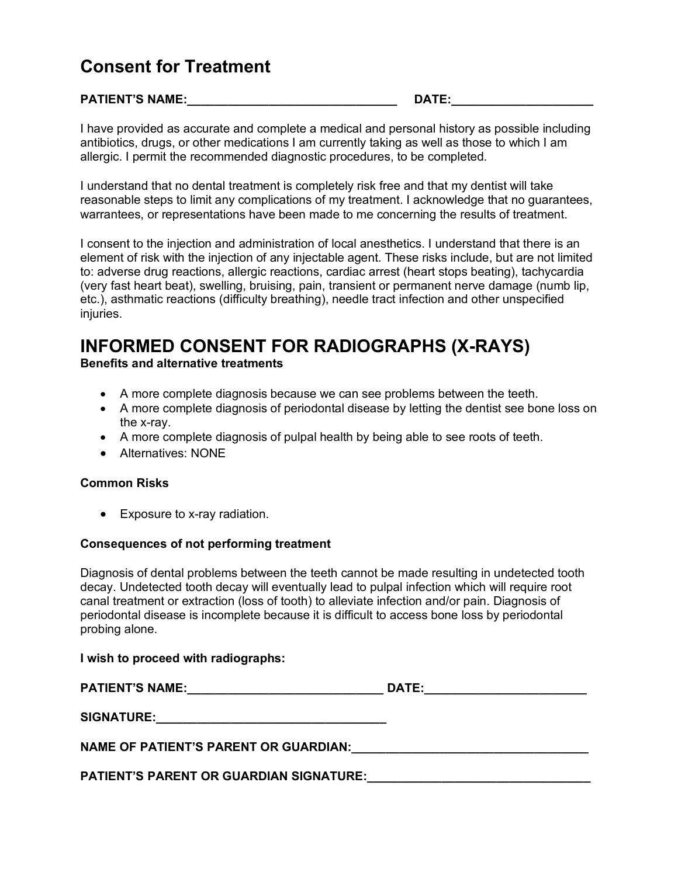## **Consent for Treatment**

#### **PATIENT'S NAME:\_\_\_\_\_\_\_\_\_\_\_\_\_\_\_\_\_\_\_\_\_\_\_\_\_\_\_\_\_\_\_ DATE:\_\_\_\_\_\_\_\_\_\_\_\_\_\_\_\_\_\_\_\_\_**

I have provided as accurate and complete a medical and personal history as possible including antibiotics, drugs, or other medications I am currently taking as well as those to which I am allergic. I permit the recommended diagnostic procedures, to be completed.

I understand that no dental treatment is completely risk free and that my dentist will take reasonable steps to limit any complications of my treatment. I acknowledge that no guarantees, warrantees, or representations have been made to me concerning the results of treatment.

I consent to the injection and administration of local anesthetics. I understand that there is an element of risk with the injection of any injectable agent. These risks include, but are not limited to: adverse drug reactions, allergic reactions, cardiac arrest (heart stops beating), tachycardia (very fast heart beat), swelling, bruising, pain, transient or permanent nerve damage (numb lip, etc.), asthmatic reactions (difficulty breathing), needle tract infection and other unspecified injuries.

# **INFORMED CONSENT FOR RADIOGRAPHS (X-RAYS) Benefits and alternative treatments**

- A more complete diagnosis because we can see problems between the teeth.
- A more complete diagnosis of periodontal disease by letting the dentist see bone loss on the x-ray.
- A more complete diagnosis of pulpal health by being able to see roots of teeth.
- Alternatives: NONE

#### **Common Risks**

• Exposure to x-ray radiation.

#### **Consequences of not performing treatment**

Diagnosis of dental problems between the teeth cannot be made resulting in undetected tooth decay. Undetected tooth decay will eventually lead to pulpal infection which will require root canal treatment or extraction (loss of tooth) to alleviate infection and/or pain. Diagnosis of periodontal disease is incomplete because it is difficult to access bone loss by periodontal probing alone.

#### **I wish to proceed with radiographs:**

| <b>PATIENT'S NAME:</b>                         | DATE: |
|------------------------------------------------|-------|
| <b>SIGNATURE:</b>                              |       |
| NAME OF PATIENT'S PARENT OR GUARDIAN:          |       |
| <b>PATIENT'S PARENT OR GUARDIAN SIGNATURE:</b> |       |